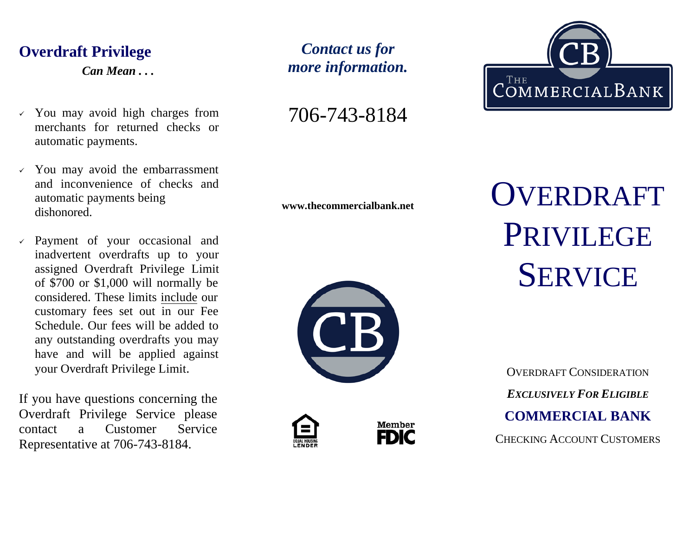# **Overdraft Privilege**

*Can Mean . . .*

- $\checkmark$  You may avoid high charges from merchants for returned checks or automatic payments.
- $\checkmark$  You may avoid the embarrassment and inconvenience of checks and automatic payments being dishonored.
- Payment of your occasional and inadvertent overdrafts up to your assigned Overdraft Privilege Limit of \$700 or \$1,000 will normally be considered. These limits include our customary fees set out in our Fee Schedule. Our fees will be added to any outstanding overdrafts you may have and will be applied against your Overdraft Privilege Limit.

If you have questions concerning the Overdraft Privilege Service please contact a Customer Service Representative at 706-743-8184.

*Contact us for more information.*

706-743-8184









**www.thecommercialbank.net** OVERDRAFT PRIVILEGE **SERVICE** 

> OVERDRAFT CONSIDERATION *EXCLUSIVELY FOR ELIGIBLE* **COMMERCIAL BANK** CHECKING ACCOUNT CUSTOMERS